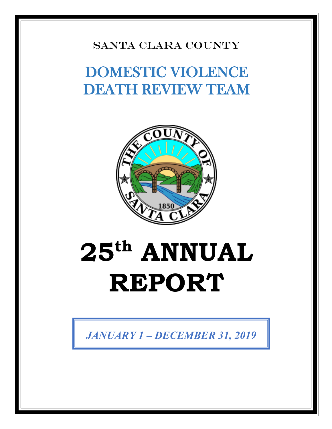#### SANTA CLARA COUNTY

## DOMESTIC VIOLENCE DEATH REVIEW TEAM



# **25th ANNUAL REPORT**

*JANUARY 1 – DECEMBER 31, 2019*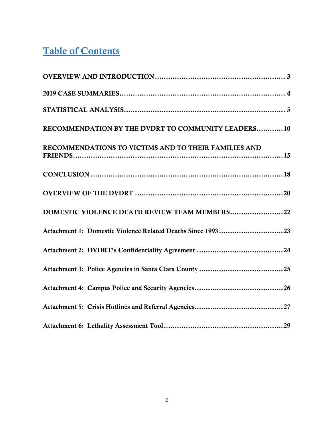#### Table of Contents

| RECOMMENDATION BY THE DVDRT TO COMMUNITY LEADERS10          |
|-------------------------------------------------------------|
| RECOMMENDATIONS TO VICTIMS AND TO THEIR FAMILIES AND        |
|                                                             |
|                                                             |
| DOMESTIC VIOLENCE DEATH REVIEW TEAM MEMBERS22               |
| Attachment 1: Domestic Violence Related Deaths Since 199323 |
|                                                             |
|                                                             |
|                                                             |
|                                                             |
|                                                             |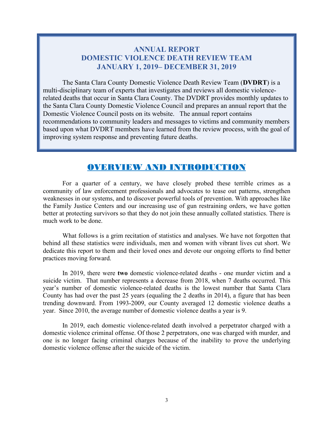#### **ANNUAL REPORT DOMESTIC VIOLENCE DEATH REVIEW TEAM JANUARY 1, 2019– DECEMBER 31, 2019**

The Santa Clara County Domestic Violence Death Review Team (**DVDRT**) is a multi-disciplinary team of experts that investigates and reviews all domestic violencerelated deaths that occur in Santa Clara County. The DVDRT provides monthly updates to the Santa Clara County Domestic Violence Council and prepares an annual report that the Domestic Violence Council posts on its website. The annual report contains recommendations to community leaders and messages to victims and community members based upon what DVDRT members have learned from the review process, with the goal of improving system response and preventing future deaths.

#### OVERVIEW AND INTRODUCTION

For a quarter of a century, we have closely probed these terrible crimes as a community of law enforcement professionals and advocates to tease out patterns, strengthen weaknesses in our systems, and to discover powerful tools of prevention. With approaches like the Family Justice Centers and our increasing use of gun restraining orders, we have gotten better at protecting survivors so that they do not join these annually collated statistics. There is much work to be done.

What follows is a grim recitation of statistics and analyses. We have not forgotten that behind all these statistics were individuals, men and women with vibrant lives cut short. We dedicate this report to them and their loved ones and devote our ongoing efforts to find better practices moving forward.

In 2019, there were **two** domestic violence-related deaths - one murder victim and a suicide victim. That number represents a decrease from 2018, when 7 deaths occurred. This year's number of domestic violence-related deaths is the lowest number that Santa Clara County has had over the past 25 years (equaling the 2 deaths in 2014), a figure that has been trending downward. From 1993-2009, our County averaged 12 domestic violence deaths a year. Since 2010, the average number of domestic violence deaths a year is 9.

In 2019, each domestic violence-related death involved a perpetrator charged with a domestic violence criminal offense. Of those 2 perpetrators, one was charged with murder, and one is no longer facing criminal charges because of the inability to prove the underlying domestic violence offense after the suicide of the victim.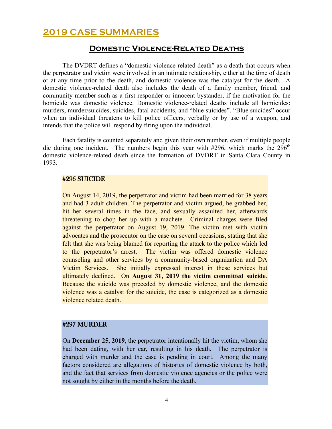#### **2019 CASE SUMMARIES**

#### **Domestic Violence-Related Deaths**

The DVDRT defines a "domestic violence-related death" as a death that occurs when the perpetrator and victim were involved in an intimate relationship, either at the time of death or at any time prior to the death, and domestic violence was the catalyst for the death. A domestic violence-related death also includes the death of a family member, friend, and community member such as a first responder or innocent bystander, if the motivation for the homicide was domestic violence. Domestic violence-related deaths include all homicides: murders, murder/suicides, suicides, fatal accidents, and "blue suicides". "Blue suicides" occur when an individual threatens to kill police officers, verbally or by use of a weapon, and intends that the police will respond by firing upon the individual.

Each fatality is counted separately and given their own number, even if multiple people die during one incident. The numbers begin this year with  $#296$ , which marks the  $296<sup>th</sup>$ domestic violence-related death since the formation of DVDRT in Santa Clara County in 1993.

#### #296 SUICIDE

On August 14, 2019, the perpetrator and victim had been married for 38 years and had 3 adult children. The perpetrator and victim argued, he grabbed her, hit her several times in the face, and sexually assaulted her, afterwards threatening to chop her up with a machete. Criminal charges were filed against the perpetrator on August 19, 2019. The victim met with victim advocates and the prosecutor on the case on several occasions, stating that she felt that she was being blamed for reporting the attack to the police which led to the perpetrator's arrest. The victim was offered domestic violence counseling and other services by a community-based organization and DA Victim Services. She initially expressed interest in these services but ultimately declined. On **August 31, 2019 the victim committed suicide**. Because the suicide was preceded by domestic violence, and the domestic violence was a catalyst for the suicide, the case is categorized as a domestic violence related death.

#### #297 MURDER

On **December 25, 2019**, the perpetrator intentionally hit the victim, whom she had been dating, with her car, resulting in his death. The perpetrator is charged with murder and the case is pending in court. Among the many factors considered are allegations of histories of domestic violence by both, and the fact that services from domestic violence agencies or the police were not sought by either in the months before the death.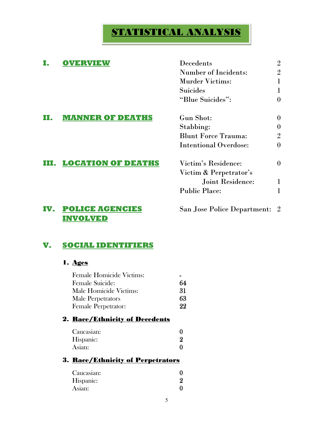#### STATISTICAL ANALYSIS

#### **I. OVERVIEW** Decedents 2 Number of Incidents: 2 Murder Victims: 1 Suicides 1 "Blue Suicides": 0 **II. MANNER OF DEATHS** Gun Shot: 0 Stabbing: 0 Blunt Force Trauma: 2 Intentional Overdose: 0 **III. LOCATION OF DEATHS** Victim's Residence: 0 Victim & Perpetrator's Joint Residence: 1 Public Place: 1 **IV. POLICE AGENCIES** San Jose Police Department: 2 **INVOLVED**

#### **V. SOCIAL IDENTIFIERS**

#### 1. Ages

| <b>Female Homicide Victims:</b>       |    |
|---------------------------------------|----|
| Female Suicide:                       | 64 |
| Male Homicide Victims:                | 31 |
| Male Perpetrators                     | 63 |
| <b>Female Perpetrator:</b>            | 22 |
| 2. <u>Race/Ethnicity of Decedents</u> |    |
| $C$ aucasian $\cdot$                  |    |

| Caucasian: |  |
|------------|--|
| Hispanic:  |  |
| Asian:     |  |

#### 3. Race/Ethnicity of Perpetrators

| Caucasian: |  |
|------------|--|
| Hispanic:  |  |
| Asian:     |  |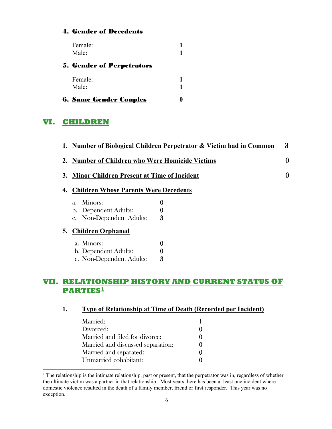#### 4. Gender of Decedents

| Female:<br>Male:                  |  |
|-----------------------------------|--|
| <u> 5. Gender of Perpetrators</u> |  |
| Female:                           |  |
| $\text{Male}^{\star}$             |  |

|  | <b>6. Same Gender Couples</b> |  |
|--|-------------------------------|--|
|  |                               |  |
|  |                               |  |

#### **VI. CHILDREN**

|    |                                                     | 1. Number of Biological Children Perpetrator & Victim had in Common | 3        |
|----|-----------------------------------------------------|---------------------------------------------------------------------|----------|
|    | <b>Number of Children who Were Homicide Victims</b> |                                                                     | $\bf{0}$ |
| 3. | <b>Minor Children Present at Time of Incident</b>   |                                                                     | $\bf{0}$ |
| 4. | <b>Children Whose Parents Were Decedents</b>        |                                                                     |          |
|    | Minors:<br>$a_{\cdot}$                              | 0                                                                   |          |
|    | b. Dependent Adults:                                |                                                                     |          |
|    | c. Non-Dependent Adults:                            | 3                                                                   |          |
| 5. | <b>Children Orphaned</b>                            |                                                                     |          |
|    | a. Minors:                                          | 0                                                                   |          |
|    | b. Dependent Adults:                                | $\boldsymbol{0}$                                                    |          |
|    | c. Non-Dependent Adults:                            | 3                                                                   |          |

#### **VII. RELATIONSHIP HISTORY AND CURRENT STATUS OF PARTIES[1](#page-5-0)**

| Married:                          |  |
|-----------------------------------|--|
| Divorced:                         |  |
| Married and filed for divorce:    |  |
| Married and discussed separation: |  |
| Married and separated:            |  |
| Unmarried cohabitant:             |  |

<span id="page-5-0"></span><sup>&</sup>lt;sup>1</sup> The relationship is the intimate relationship, past or present, that the perpetrator was in, regardless of whether the ultimate victim was a partner in that relationship. Most years there has been at least one incident where domestic violence resulted in the death of a family member, friend or first responder. This year was no exception.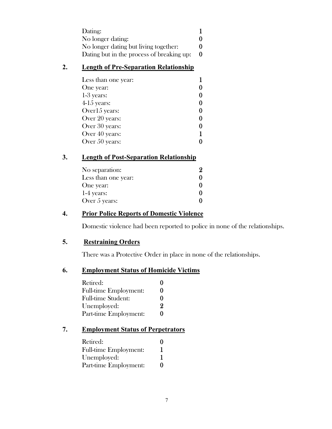| Dating:                                   |  |
|-------------------------------------------|--|
| No longer dating:                         |  |
| No longer dating but living together:     |  |
| Dating but in the process of breaking up: |  |

#### **2. Length of Pre-Separation Relationship**

| Less than one year: |  |
|---------------------|--|
| One year:           |  |
| $1-3$ years:        |  |
| $4-15$ years:       |  |
| Over15 years:       |  |
| Over 20 years:      |  |
| Over 30 years:      |  |
| Over 40 years:      |  |
| Over 50 years:      |  |

#### **3. Length of Post-Separation Relationship**

| No separation:      |  |
|---------------------|--|
| Less than one year: |  |
| One year:           |  |
| $1-4$ years:        |  |
| Over $5$ years:     |  |

#### **4. Prior Police Reports of Domestic Violence**

Domestic violence had been reported to police in none of the relationships.

#### **5. Restraining Orders**

There was a Protective Order in place in none of the relationships.

#### **6. Employment Status of Homicide Victims**

| Retired:                     |   |
|------------------------------|---|
| <b>Full-time Employment:</b> | 0 |
| <b>Full-time Student:</b>    | 0 |
| Unemployed:                  | 9 |
| Part-time Employment:        | 0 |

#### **7. Employment Status of Perpetrators**

| Retired:                     | 0 |
|------------------------------|---|
| <b>Full-time Employment:</b> | 1 |
| Unemployed:                  |   |
| Part-time Employment:        | 0 |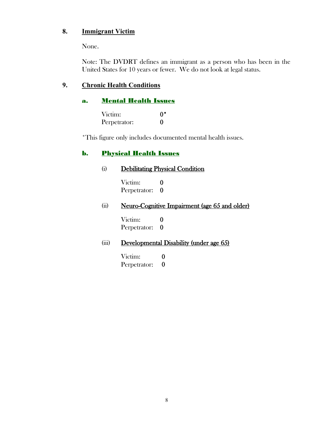#### **8. Immigrant Victim**

None.

Note: The DVDRT defines an immigrant as a person who has been in the United States for 10 years or fewer. We do not look at legal status.

#### **9. Chronic Health Conditions**

#### a. Mental Health Issues

| Victim:      | $0^*$ |
|--------------|-------|
| Perpetrator: |       |

\*This figure only includes documented mental health issues.

#### **b.** Physical Health Issues

## (i) Debilitating Physical Condition

Victim: 0 Perpetrator: 0

#### (ii) Neuro-Cognitive Impairment (age 65 and older)

Victim: 0<br>Perpetrator: 0 Perpetrator:

#### (iii) Developmental Disability (under age 65)

Victim: 0 Perpetrator: 0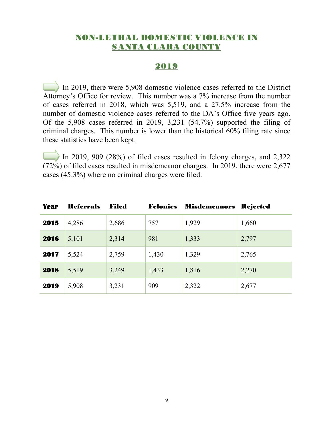#### NON-LETHAL DOMESTIC VIOLENCE IN SANTA CLARA COUNTY

#### 2019

In 2019, there were 5,908 domestic violence cases referred to the District Attorney's Office for review. This number was a 7% increase from the number of cases referred in 2018, which was 5,519, and a 27.5% increase from the number of domestic violence cases referred to the DA's Office five years ago. Of the 5,908 cases referred in 2019, 3,231 (54.7%) supported the filing of criminal charges. This number is lower than the historical 60% filing rate since these statistics have been kept.

In 2019, 909 (28%) of filed cases resulted in felony charges, and 2,322 (72%) of filed cases resulted in misdemeanor charges. In 2019, there were 2,677 cases (45.3%) where no criminal charges were filed.

| <b>Year</b> | <b>Referrals</b> | Filed | <b>Felonies</b> | <b>Misdemeanors</b> | <b>Rejected</b> |
|-------------|------------------|-------|-----------------|---------------------|-----------------|
| 2015        | 4,286            | 2,686 | 757             | 1,929               | 1,660           |
| 2016        | 5,101            | 2,314 | 981             | 1,333               | 2,797           |
| 2017        | 5,524            | 2,759 | 1,430           | 1,329               | 2,765           |
| 2018        | 5,519            | 3,249 | 1,433           | 1,816               | 2,270           |
| 2019        | 5,908            | 3,231 | 909             | 2,322               | 2,677           |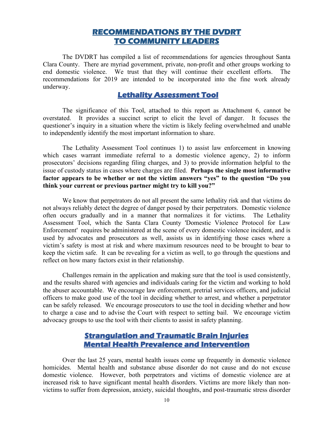#### **RECOMMENDATIONS BY THE DVDRT TO COMMUNITY LEADERS**

The DVDRT has compiled a list of recommendations for agencies throughout Santa Clara County. There are myriad government, private, non-profit and other groups working to end domestic violence. We trust that they will continue their excellent efforts. The recommendations for 2019 are intended to be incorporated into the fine work already underway.

#### **Lethality Assessment Tool**

The significance of this Tool, attached to this report as Attachment 6, cannot be overstated. It provides a succinct script to elicit the level of danger. It focuses the questioner's inquiry in a situation where the victim is likely feeling overwhelmed and unable to independently identify the most important information to share.

The Lethality Assessment Tool continues 1) to assist law enforcement in knowing which cases warrant immediate referral to a domestic violence agency, 2) to inform prosecutors' decisions regarding filing charges, and 3) to provide information helpful to the issue of custody status in cases where charges are filed. **Perhaps the single most informative factor appears to be whether or not the victim answers "yes" to the question "Do you think your current or previous partner might try to kill you?"**

We know that perpetrators do not all present the same lethality risk and that victims do not always reliably detect the degree of danger posed by their perpetrators. Domestic violence often occurs gradually and in a manner that normalizes it for victims. The Lethality Assessment Tool, which the Santa Clara County 'Domestic Violence Protocol for Law Enforcement' requires be administered at the scene of every domestic violence incident, and is used by advocates and prosecutors as well, assists us in identifying those cases where a victim's safety is most at risk and where maximum resources need to be brought to bear to keep the victim safe. It can be revealing for a victim as well, to go through the questions and reflect on how many factors exist in their relationship.

Challenges remain in the application and making sure that the tool is used consistently, and the results shared with agencies and individuals caring for the victim and working to hold the abuser accountable. We encourage law enforcement, pretrial services officers, and judicial officers to make good use of the tool in deciding whether to arrest, and whether a perpetrator can be safely released. We encourage prosecutors to use the tool in deciding whether and how to charge a case and to advise the Court with respect to setting bail. We encourage victim advocacy groups to use the tool with their clients to assist in safety planning.

#### **Strangulation and Traumatic Brain Injuries Mental Health Prevalence and Intervention**

Over the last 25 years, mental health issues come up frequently in domestic violence homicides. Mental health and substance abuse disorder do not cause and do not excuse domestic violence. However, both perpetrators and victims of domestic violence are at increased risk to have significant mental health disorders. Victims are more likely than nonvictims to suffer from depression, anxiety, suicidal thoughts, and post-traumatic stress disorder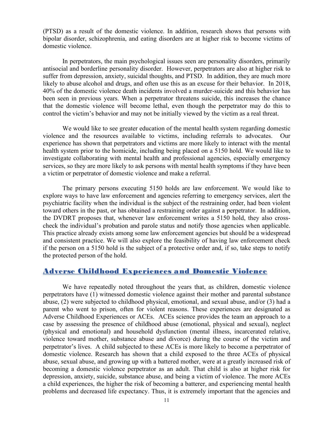(PTSD) as a result of the domestic violence. In addition, research shows that persons with bipolar disorder, schizophrenia, and eating disorders are at higher risk to become victims of domestic violence.

In perpetrators, the main psychological issues seen are personality disorders, primarily antisocial and borderline personality disorder. However, perpetrators are also at higher risk to suffer from depression, anxiety, suicidal thoughts, and PTSD. In addition, they are much more likely to abuse alcohol and drugs, and often use this as an excuse for their behavior. In 2018, 40% of the domestic violence death incidents involved a murder-suicide and this behavior has been seen in previous years. When a perpetrator threatens suicide, this increases the chance that the domestic violence will become lethal, even though the perpetrator may do this to control the victim's behavior and may not be initially viewed by the victim as a real threat.

We would like to see greater education of the mental health system regarding domestic violence and the resources available to victims, including referrals to advocates. Our experience has shown that perpetrators and victims are more likely to interact with the mental health system prior to the homicide, including being placed on a 5150 hold. We would like to investigate collaborating with mental health and professional agencies, especially emergency services, so they are more likely to ask persons with mental health symptoms if they have been a victim or perpetrator of domestic violence and make a referral.

The primary persons executing 5150 holds are law enforcement. We would like to explore ways to have law enforcement and agencies referring to emergency services, alert the psychiatric facility when the individual is the subject of the restraining order, had been violent toward others in the past, or has obtained a restraining order against a perpetrator. In addition, the DVDRT proposes that, whenever law enforcement writes a 5150 hold, they also crosscheck the individual's probation and parole status and notify those agencies when applicable. This practice already exists among some law enforcement agencies but should be a widespread and consistent practice. We will also explore the feasibility of having law enforcement check if the person on a 5150 hold is the subject of a protective order and, if so, take steps to notify the protected person of the hold.

#### Adverse Childhood Experiences and Domestic Violence

We have repeatedly noted throughout the years that, as children, domestic violence perpetrators have (1) witnessed domestic violence against their mother and parental substance abuse, (2) were subjected to childhood physical, emotional, and sexual abuse, and/or (3) had a parent who went to prison, often for violent reasons. These experiences are designated as Adverse Childhood Experiences or ACEs. ACEs science provides the team an approach to a case by assessing the presence of childhood abuse (emotional, physical and sexual), neglect (physical and emotional) and household dysfunction (mental illness, incarcerated relative, violence toward mother, substance abuse and divorce) during the course of the victim and perpetrator's lives. A child subjected to these ACEs is more likely to become a perpetrator of domestic violence. Research has shown that a child exposed to the three ACEs of physical abuse, sexual abuse, and growing up with a battered mother, were at a greatly increased risk of becoming a domestic violence perpetrator as an adult. That child is also at higher risk for depression, anxiety, suicide, substance abuse, and being a victim of violence. The more ACEs a child experiences, the higher the risk of becoming a batterer, and experiencing mental health problems and decreased life expectancy. Thus, it is extremely important that the agencies and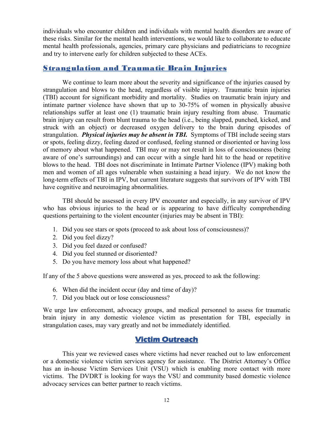individuals who encounter children and individuals with mental health disorders are aware of these risks. Similar for the mental health interventions, we would like to collaborate to educate mental health professionals, agencies, primary care physicians and pediatricians to recognize and try to intervene early for children subjected to these ACEs.

#### Strangulation and Traumatic Brain Injuries

We continue to learn more about the severity and significance of the injuries caused by strangulation and blows to the head, regardless of visible injury. Traumatic brain injuries (TBI) account for significant morbidity and mortality. Studies on traumatic brain injury and intimate partner violence have shown that up to 30-75% of women in physically abusive relationships suffer at least one (1) traumatic brain injury resulting from abuse. Traumatic brain injury can result from blunt trauma to the head (i.e., being slapped, punched, kicked, and struck with an object) or decreased oxygen delivery to the brain during episodes of strangulation. *Physical injuries may be absent in TBI.* Symptoms of TBI include seeing stars or spots, feeling dizzy, feeling dazed or confused, feeling stunned or disoriented or having loss of memory about what happened. TBI may or may not result in loss of consciousness (being aware of one's surroundings) and can occur with a single hard hit to the head or repetitive blows to the head. TBI does not discriminate in Intimate Partner Violence (IPV) making both men and women of all ages vulnerable when sustaining a head injury. We do not know the long-term effects of TBI in IPV, but current literature suggests that survivors of IPV with TBI have cognitive and neuroimaging abnormalities.

TBI should be assessed in every IPV encounter and especially, in any survivor of IPV who has obvious injuries to the head or is appearing to have difficulty comprehending questions pertaining to the violent encounter (injuries may be absent in TBI):

- 1. Did you see stars or spots (proceed to ask about loss of consciousness)?
- 2. Did you feel dizzy?
- 3. Did you feel dazed or confused?
- 4. Did you feel stunned or disoriented?
- 5. Do you have memory loss about what happened?

If any of the 5 above questions were answered as yes, proceed to ask the following:

- 6. When did the incident occur (day and time of day)?
- 7. Did you black out or lose consciousness?

We urge law enforcement, advocacy groups, and medical personnel to assess for traumatic brain injury in any domestic violence victim as presentation for TBI, especially in strangulation cases, may vary greatly and not be immediately identified.

#### **Victim Outreach**

This year we reviewed cases where victims had never reached out to law enforcement or a domestic violence victim services agency for assistance. The District Attorney's Office has an in-house Victim Services Unit (VSU) which is enabling more contact with more victims. The DVDRT is looking for ways the VSU and community based domestic violence advocacy services can better partner to reach victims.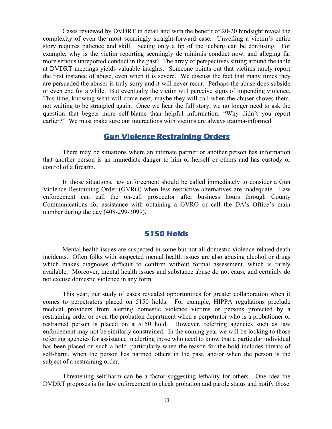Cases reviewed by DVDRT in detail and with the benefit of 20-20 hindsight reveal the complexity of even the most seemingly straight-forward case. Unveiling a victim's entire story requires patience and skill. Seeing only a tip of the iceberg can be confusing. For example, why is the victim reporting seemingly de minimis conduct now, and alleging far more serious unreported conduct in the past? The array of perspectives sitting around the table at DVDRT meetings yields valuable insights. Someone points out that victims rarely report the first instance of abuse, even when it is severe. We discuss the fact that many times they are persuaded the abuser is truly sorry and it will never recur. Perhaps the abuse does subside or even end for a while. But eventually the victim will perceive signs of impending violence. This time, knowing what will come next, maybe they will call when the abuser shoves them, not waiting to be strangled again. Once we hear the full story, we no longer need to ask the question that begets more self-blame than helpful information: "Why didn't you report earlier?" We must make sure our interactions with victims are always trauma-informed.

#### **Gun Violence Restraining Orders**

There may be situations where an intimate partner or another person has information that another person is an immediate danger to him or herself or others and has custody or control of a firearm.

In those situations, law enforcement should be called immediately to consider a Gun Violence Restraining Order (GVRO) when less restrictive alternatives are inadequate. Law enforcement can call the on-call prosecutor after business hours through County Communications for assistance with obtaining a GVRO or call the DA's Office's main number during the day (408-299-3099).

#### **5150 Holds**

Mental health issues are suspected in some but not all domestic violence-related death incidents. Often folks with suspected mental health issues are also abusing alcohol or drugs which makes diagnoses difficult to confirm without formal assessment, which is rarely available. Moreover, mental health issues and substance abuse do not cause and certainly do not excuse domestic violence in any form.

This year, our study of cases revealed opportunities for greater collaboration when it comes to perpetrators placed on 5150 holds. For example, HIPPA regulations preclude medical providers from alerting domestic violence victims or persons protected by a restraining order or even the probation department when a perpetrator who is a probationer or restrained person is placed on a 5150 hold. However, referring agencies such as law enforcement may not be similarly constrained. In the coming year we will be looking to those referring agencies for assistance in alerting those who need to know that a particular individual has been placed on such a hold, particularly when the reason for the hold includes threats of self-harm, when the person has harmed others in the past, and/or when the person is the subject of a restraining order.

Threatening self-harm can be a factor suggesting lethality for others. One idea the DVDRT proposes is for law enforcement to check probation and parole status and notify those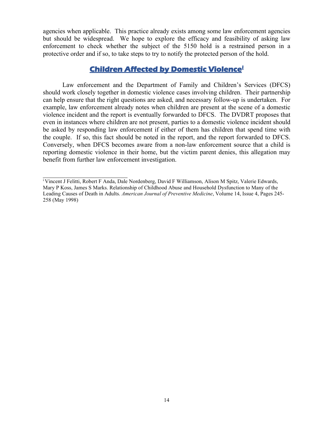agencies when applicable. This practice already exists among some law enforcement agencies but should be widespread. We hope to explore the efficacy and feasibility of asking law enforcement to check whether the subject of the 5150 hold is a restrained person in a protective order and if so, to take steps to try to notify the protected person of the hold.

#### **Children Affected by Domestic Violence[i](#page-30-0)**

Law enforcement and the Department of Family and Children's Services (DFCS) should work closely together in domestic violence cases involving children. Their partnership can help ensure that the right questions are asked, and necessary follow-up is undertaken. For example, law enforcement already notes when children are present at the scene of a domestic violence incident and the report is eventually forwarded to DFCS. The DVDRT proposes that even in instances where children are not present, parties to a domestic violence incident should be asked by responding law enforcement if either of them has children that spend time with the couple. If so, this fact should be noted in the report, and the report forwarded to DFCS. Conversely, when DFCS becomes aware from a non-law enforcement source that a child is reporting domestic violence in their home, but the victim parent denies, this allegation may benefit from further law enforcement investigation.

\_\_\_\_\_\_\_\_\_\_\_\_\_\_\_\_\_\_\_\_\_\_\_\_\_\_

<sup>i</sup> Vincent J Felitti, Robert F Anda, Dale Nordenberg, David F Williamson, Alison M Spitz, Valerie Edwards, Mary P Koss, James S Marks. Relationship of Childhood Abuse and Household Dysfunction to Many of the Leading Causes of Death in Adults. *American Journal of Preventive Medicine*, Volume 14, Issue 4, Pages 245- 258 (May 1998)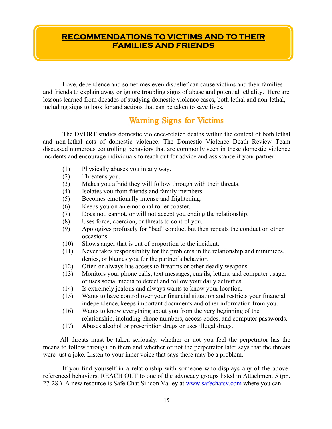#### **RECOMMENDATIONS TO VICTIMS AND TO THEIR FAMILIES AND FRIENDS**

Love, dependence and sometimes even disbelief can cause victims and their families and friends to explain away or ignore troubling signs of abuse and potential lethality. Here are lessons learned from decades of studying domestic violence cases, both lethal and non-lethal, including signs to look for and actions that can be taken to save lives.

#### Warning Signs for Victims

The DVDRT studies domestic violence-related deaths within the context of both lethal and non-lethal acts of domestic violence. The Domestic Violence Death Review Team discussed numerous controlling behaviors that are commonly seen in these domestic violence incidents and encourage individuals to reach out for advice and assistance if your partner:

- (1) Physically abuses you in any way.
- (2) Threatens you.
- (3) Makes you afraid they will follow through with their threats.
- (4) Isolates you from friends and family members.
- (5) Becomes emotionally intense and frightening.
- (6) Keeps you on an emotional roller coaster.
- (7) Does not, cannot, or will not accept you ending the relationship.
- (8) Uses force, coercion, or threats to control you.
- (9) Apologizes profusely for "bad" conduct but then repeats the conduct on other occasions.
- (10) Shows anger that is out of proportion to the incident.
- (11) Never takes responsibility for the problems in the relationship and minimizes, denies, or blames you for the partner's behavior.
- (12) Often or always has access to firearms or other deadly weapons.
- (13) Monitors your phone calls, text messages, emails, letters, and computer usage, or uses social media to detect and follow your daily activities.
- (14) Is extremely jealous and always wants to know your location.
- (15) Wants to have control over your financial situation and restricts your financial independence, keeps important documents and other information from you.
- (16) Wants to know everything about you from the very beginning of the relationship, including phone numbers, access codes, and computer passwords.
- (17) Abuses alcohol or prescription drugs or uses illegal drugs.

All threats must be taken seriously, whether or not you feel the perpetrator has the means to follow through on them and whether or not the perpetrator later says that the threats were just a joke. Listen to your inner voice that says there may be a problem.

If you find yourself in a relationship with someone who displays any of the abovereferenced behaviors, REACH OUT to one of the advocacy groups listed in Attachment 5 (pp. 27-28.) A new resource is Safe Chat Silicon Valley at [www.safechatsv.com](http://www.safechatsv.com/) where you can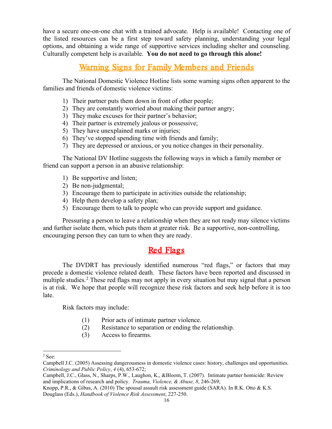have a secure one-on-one chat with a trained advocate. Help is available! Contacting one of the listed resources can be a first step toward safety planning, understanding your legal options, and obtaining a wide range of supportive services including shelter and counseling. Culturally competent help is available. **You do not need to go through this alone!**

#### Warning Signs for Family Members and Friends

The National Domestic Violence Hotline lists some warning signs often apparent to the families and friends of domestic violence victims:

- 1) Their partner puts them down in front of other people;
- 2) They are constantly worried about making their partner angry;
- 3) They make excuses for their partner's behavior;
- 4) Their partner is extremely jealous or possessive;
- 5) They have unexplained marks or injuries;
- 6) They've stopped spending time with friends and family;
- 7) They are depressed or anxious, or you notice changes in their personality.

The National DV Hotline suggests the following ways in which a family member or friend can support a person in an abusive relationship:

- 1) Be supportive and listen;
- 2) Be non-judgmental;
- 3) Encourage them to participate in activities outside the relationship;
- 4) Help them develop a safety plan;
- 5) Encourage them to talk to people who can provide support and guidance.

Pressuring a person to leave a relationship when they are not ready may silence victims and further isolate them, which puts them at greater risk. Be a supportive, non-controlling, encouraging person they can turn to when they are ready.

#### Red Flags

The DVDRT has previously identified numerous "red flags," or factors that may precede a domestic violence related death.These factors have been reported and discussed in multiple studies. [2](#page-15-0) These red flags may not apply in every situation but may signal that a person is at risk. We hope that people will recognize these risk factors and seek help before it is too late.

Risk factors may include:

- (1) Prior acts of intimate partner violence.
- (2) Resistance to separation or ending the relationship.
- (3) Access to firearms.

Knopp, P.R., & Gibas, A. (2010) The spousal assault risk assessment guide (SARA). In R.K. Otto & K.S. Douglass (Eds.), *Handbook of Violence Risk Assessment*, 227-250.

<span id="page-15-0"></span> $2$  See $\cdot$ 

Campbell J.C. (2005) Assessing dangerousness in domestic violence cases: history, challenges and opportunities. *Criminology and Public Policy*, *4* (4), 653-672;

Campbell, J.C., Glass, N., Sharps, P.W., Laughon, K., &Bloom, T. (2007). Intimate partner homicide: Review and implications of research and policy. *Trauma, Violence, & Abuse, 8*, 246-269;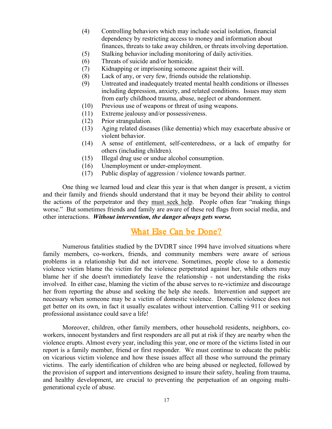- (4) Controlling behaviors which may include social isolation, financial dependency by restricting access to money and information about finances, threats to take away children, or threats involving deportation.
- (5) Stalking behavior including monitoring of daily activities.
- (6) Threats of suicide and/or homicide.
- (7) Kidnapping or imprisoning someone against their will.
- (8) Lack of any, or very few, friends outside the relationship.
- (9) Untreated and inadequately treated mental health conditions or illnesses including depression, anxiety, and related conditions. Issues may stem from early childhood trauma, abuse, neglect or abandonment.
- (10) Previous use of weapons or threat of using weapons.
- (11) Extreme jealousy and/or possessiveness.
- (12) Prior strangulation.
- (13) Aging related diseases (like dementia) which may exacerbate abusive or violent behavior.
- (14) A sense of entitlement, self-centeredness, or a lack of empathy for others (including children).
- (15) Illegal drug use or undue alcohol consumption.
- (16) Unemployment or under-employment.
- (17) Public display of aggression / violence towards partner.

One thing we learned loud and clear this year is that when danger is present, a victim and their family and friends should understand that it may be beyond their ability to control the actions of the perpetrator and they must seek help. People often fear "making things worse." But sometimes friends and family are aware of these red flags from social media, and other interactions. *Without intervention, the danger always gets worse.*

#### What Else Can be Done?

Numerous fatalities studied by the DVDRT since 1994 have involved situations where family members, co-workers, friends, and community members were aware of serious problems in a relationship but did not intervene. Sometimes, people close to a domestic violence victim blame the victim for the violence perpetrated against her, while others may blame her if she doesn't immediately leave the relationship - not understanding the risks involved. In either case, blaming the victim of the abuse serves to re-victimize and discourage her from reporting the abuse and seeking the help she needs. Intervention and support are necessary when someone may be a victim of domestic violence. Domestic violence does not get better on its own, in fact it usually escalates without intervention. Calling 911 or seeking professional assistance could save a life!

Moreover, children, other family members, other household residents, neighbors, coworkers, innocent bystanders and first responders are all put at risk if they are nearby when the violence erupts. Almost every year, including this year, one or more of the victims listed in our report is a family member, friend or first responder. We must continue to educate the public on vicarious victim violence and how these issues affect all those who surround the primary victims. The early identification of children who are being abused or neglected, followed by the provision of support and interventions designed to insure their safety, healing from trauma, and healthy development, are crucial to preventing the perpetuation of an ongoing multigenerational cycle of abuse.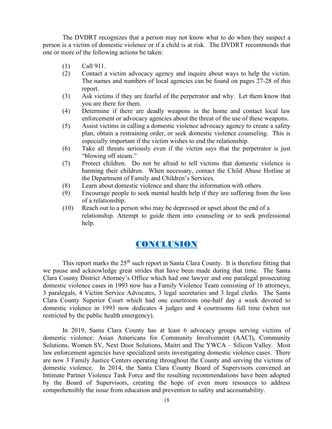The DVDRT recognizes that a person may not know what to do when they suspect a person is a victim of domestic violence or if a child is at risk. The DVDRT recommends that one or more of the following actions be taken:

- (1) Call 911.
- (2) Contact a victim advocacy agency and inquire about ways to help the victim. The names and numbers of local agencies can be found on pages 27-28 of this report.
- (3) Ask victims if they are fearful of the perpetrator and why. Let them know that you are there for them.
- (4) Determine if there are deadly weapons in the home and contact local law enforcement or advocacy agencies about the threat of the use of these weapons.
- (5) Assist victims in calling a domestic violence advocacy agency to create a safety plan, obtain a restraining order, or seek domestic violence counseling. This is especially important if the victim wishes to end the relationship.
- (6) Take all threats seriously even if the victim says that the perpetrator is just "blowing off steam."
- (7) Protect children. Do not be afraid to tell victims that domestic violence is harming their children. When necessary, contact the Child Abuse Hotline at the Department of Family and Children's Services.
- (8) Learn about domestic violence and share the information with others.
- (9) Encourage people to seek mental health help if they are suffering from the loss of a relationship.
- (10) Reach out to a person who may be depressed or upset about the end of a relationship. Attempt to guide them into counseling or to seek professional help.

#### CONCLUSION

This report marks the  $25<sup>th</sup>$  such report in Santa Clara County. It is therefore fitting that we pause and acknowledge great strides that have been made during that time. The Santa Clara County District Attorney's Office which had one lawyer and one paralegal prosecuting domestic violence cases in 1993 now has a Family Violence Team consisting of 16 attorneys, 3 paralegals, 4 Victim Service Advocates, 3 legal secretaries and 3 legal clerks. The Santa Clara County Superior Court which had one courtroom one-half day a week devoted to domestic violence in 1993 now dedicates 4 judges and 4 courtrooms full time (when not restricted by the public health emergency).

In 2019, Santa Clara County has at least 6 advocacy groups serving victims of domestic violence: Asian Americans for Community Involvement (AACI), Community Solutions, Women SV, Next Door Solutions, Maitri and The YWCA – Silicon Valley. Most law enforcement agencies have specialized units investigating domestic violence cases. There are now 3 Family Justice Centers operating throughout the County and serving the victims of domestic violence. In 2014, the Santa Clara County Board of Supervisors convened an Intimate Partner Violence Task Force and the resulting recommendations have been adopted by the Board of Supervisors, creating the hope of even more resources to address comprehensibly the issue from education and prevention to safety and accountability.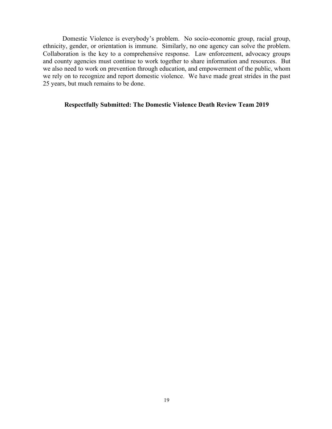Domestic Violence is everybody's problem. No socio-economic group, racial group, ethnicity, gender, or orientation is immune. Similarly, no one agency can solve the problem. Collaboration is the key to a comprehensive response. Law enforcement, advocacy groups and county agencies must continue to work together to share information and resources. But we also need to work on prevention through education, and empowerment of the public, whom we rely on to recognize and report domestic violence. We have made great strides in the past 25 years, but much remains to be done.

#### **Respectfully Submitted: The Domestic Violence Death Review Team 2019**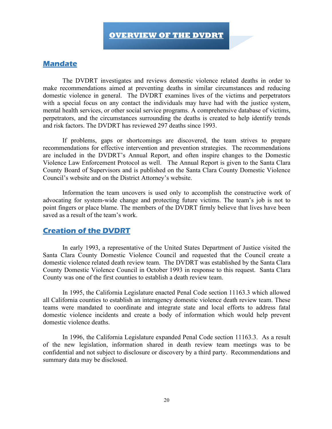#### **Mandate**

The DVDRT investigates and reviews domestic violence related deaths in order to make recommendations aimed at preventing deaths in similar circumstances and reducing domestic violence in general. The DVDRT examines lives of the victims and perpetrators with a special focus on any contact the individuals may have had with the justice system, mental health services, or other social service programs. A comprehensive database of victims, perpetrators, and the circumstances surrounding the deaths is created to help identify trends and risk factors. The DVDRT has reviewed 297 deaths since 1993.

If problems, gaps or shortcomings are discovered, the team strives to prepare recommendations for effective intervention and prevention strategies. The recommendations are included in the DVDRT's Annual Report, and often inspire changes to the Domestic Violence Law Enforcement Protocol as well. The Annual Report is given to the Santa Clara County Board of Supervisors and is published on the Santa Clara County Domestic Violence Council's website and on the District Attorney's website.

Information the team uncovers is used only to accomplish the constructive work of advocating for system-wide change and protecting future victims. The team's job is not to point fingers or place blame. The members of the DVDRT firmly believe that lives have been saved as a result of the team's work.

#### **Creation of the DVDRT**

In early 1993, a representative of the United States Department of Justice visited the Santa Clara County Domestic Violence Council and requested that the Council create a domestic violence related death review team. The DVDRT was established by the Santa Clara County Domestic Violence Council in October 1993 in response to this request. Santa Clara County was one of the first counties to establish a death review team.

In 1995, the California Legislature enacted Penal Code section 11163.3 which allowed all California counties to establish an interagency domestic violence death review team. These teams were mandated to coordinate and integrate state and local efforts to address fatal domestic violence incidents and create a body of information which would help prevent domestic violence deaths.

In 1996, the California Legislature expanded Penal Code section 11163.3. As a result of the new legislation, information shared in death review team meetings was to be confidential and not subject to disclosure or discovery by a third party. Recommendations and summary data may be disclosed.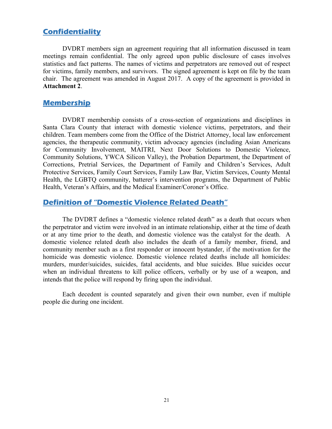#### **Confidentiality**

DVDRT members sign an agreement requiring that all information discussed in team meetings remain confidential. The only agreed upon public disclosure of cases involves statistics and fact patterns. The names of victims and perpetrators are removed out of respect for victims, family members, and survivors. The signed agreement is kept on file by the team chair. The agreement was amended in August 2017. A copy of the agreement is provided in **Attachment 2**.

#### **Membership**

DVDRT membership consists of a cross-section of organizations and disciplines in Santa Clara County that interact with domestic violence victims, perpetrators, and their children. Team members come from the Office of the District Attorney, local law enforcement agencies, the therapeutic community, victim advocacy agencies (including Asian Americans for Community Involvement, MAITRI, Next Door Solutions to Domestic Violence, Community Solutions, YWCA Silicon Valley), the Probation Department, the Department of Corrections, Pretrial Services, the Department of Family and Children's Services, Adult Protective Services, Family Court Services, Family Law Bar, Victim Services, County Mental Health, the LGBTQ community, batterer's intervention programs, the Department of Public Health, Veteran's Affairs, and the Medical Examiner/Coroner's Office.

#### **Definition of "Domestic Violence Related Death"**

The DVDRT defines a "domestic violence related death" as a death that occurs when the perpetrator and victim were involved in an intimate relationship, either at the time of death or at any time prior to the death, and domestic violence was the catalyst for the death. A domestic violence related death also includes the death of a family member, friend, and community member such as a first responder or innocent bystander, if the motivation for the homicide was domestic violence. Domestic violence related deaths include all homicides: murders, murder/suicides, suicides, fatal accidents, and blue suicides. Blue suicides occur when an individual threatens to kill police officers, verbally or by use of a weapon, and intends that the police will respond by firing upon the individual.

Each decedent is counted separately and given their own number, even if multiple people die during one incident.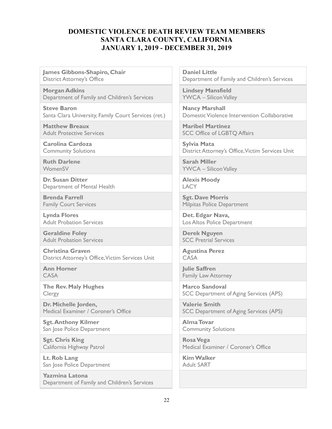#### **DOMESTIC VIOLENCE DEATH REVIEW TEAM MEMBERS SANTA CLARA COUNTY, CALIFORNIA JANUARY 1, 2019 - DECEMBER 31, 2019**

**James Gibbons-Shapiro, Chair** District Attorney's Office

**Morgan Adkins** Department of Family and Children's Services

**Steve Baron** Santa Clara University, Family Court Services (ret.)

**Matthew Breaux** Adult Protective Services

**Carolina Cardoza** Community Solutions

**Ruth Darlene** WomenSV

**Dr. Susan Ditter** Department of Mental Health

**Brenda Farrell** Family Court Services

**Lynda Flores** Adult Probation Services

**Geraldine Foley** Adult Probation Services

**Christina Graven** District Attorney's Office,Victim Services Unit

**Ann Horner** CASA

**The Rev. Maly Hughes** Clergy

**Dr. Michelle Jorden,**  Medical Examiner / Coroner's Office

**Sgt. Anthony Kilmer** San Jose Police Department

**Sgt. Chris King** California Highway Patrol

**Lt. Rob Lang** San Jose Police Department

**Yazmina Latona** Department of Family and Children's Services **Daniel Little** Department of Family and Children's Services

**Lindsey Mansfield** YWCA – Silicon Valley

**Nancy Marshall** Domestic Violence Intervention Collaborative

**Maribel Martinez** SCC Office of LGBTQ Affairs

**Sylvia Mata** District Attorney's Office, Victim Services Unit

**Sarah Miller** YWCA – Silicon Valley

**Alexis Moody LACY** 

**Sgt. Dave Morris** Milpitas Police Department

**Det. Edgar Nava,** Los Altos Police Department

**Derek Nguyen** SCC Pretrial Services

**Agustina Perez** CASA

**Julie Saffren** Family Law Attorney

**Marco Sandoval** SCC Department of Aging Services (APS)

**Valerie Smith** SCC Department of Aging Services (APS)

**AlmaTovar** Community Solutions

**Rosa Vega** Medical Examiner / Coroner's Office

**Kim Walker** Adult SART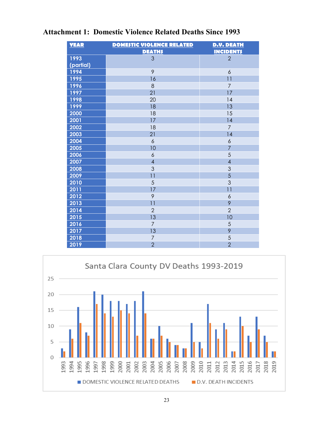| <b>YEAR</b> | <b>DOMESTIC VIOLENCE RELATED</b> | <b>D.V. DEATH</b> |
|-------------|----------------------------------|-------------------|
|             | <b>DEATH\$</b>                   | <b>INCIDENTS</b>  |
| 1993        | 3                                | $\overline{2}$    |
| (partial)   |                                  |                   |
| 1994        | 9                                | 6                 |
| 1995        | 16                               | 11                |
| 1996        | 8                                | $\overline{7}$    |
| 1997        | 21                               | 17                |
| 1998        | 20                               | 14                |
| 1999        | 18                               | 13                |
| 2000        | 18                               | 15                |
| 2001        | 17                               | 14                |
| 2002        | 18                               | $\overline{7}$    |
| 2003        | 21                               | 14                |
| 2004        | $\epsilon$                       | $\boldsymbol{6}$  |
| 2005        | 10                               | $\overline{7}$    |
| 2006        | $\boldsymbol{6}$                 | 5                 |
| 2007        | $\overline{4}$                   | $\overline{4}$    |
| 2008        | 3                                | 3                 |
| 2009        | $\overline{11}$                  | 5                 |
| 2010        | 5                                | 3                 |
| 2011        | 17                               | 11                |
| 2012        | 9                                | $\ddot{\delta}$   |
| 2013        | 11                               | 9                 |
| 2014        | $\overline{2}$                   | $\overline{2}$    |
| 2015        | 13                               | 10                |
| 2016        | $\overline{7}$                   | 5                 |
| 2017        | 13                               | 9                 |
| 2018        | 7                                | 5                 |
| 2019        | $\overline{2}$                   | $\overline{2}$    |

#### **Attachment 1: Domestic Violence Related Deaths Since 1993**

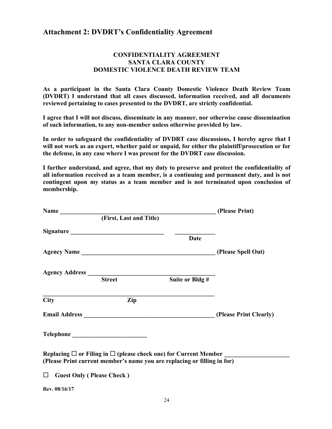#### **Attachment 2: DVDRT's Confidentiality Agreement**

#### **CONFIDENTIALITY AGREEMENT SANTA CLARA COUNTY DOMESTIC VIOLENCE DEATH REVIEW TEAM**

**As a participant in the Santa Clara County Domestic Violence Death Review Team (DVDRT) I understand that all cases discussed, information received, and all documents reviewed pertaining to cases presented to the DVDRT, are strictly confidential.** 

**I agree that I will not discuss, disseminate in any manner, nor otherwise cause dissemination of such information, to any non-member unless otherwise provided by law.** 

**In order to safeguard the confidentiality of DVDRT case discussions, I hereby agree that I will not work as an expert, whether paid or unpaid, for either the plaintiff/prosecution or for the defense, in any case where I was present for the DVDRT case discussion.**

**I further understand, and agree, that my duty to preserve and protect the confidentiality of all information received as a team member, is a continuing and permanent duty, and is not contingent upon my status as a team member and is not terminated upon conclusion of membership.** 

| Name (Please Print)                                                        |                         |                 |                        |  |
|----------------------------------------------------------------------------|-------------------------|-----------------|------------------------|--|
|                                                                            | (First, Last and Title) |                 |                        |  |
|                                                                            |                         |                 |                        |  |
|                                                                            |                         | <b>Date</b>     |                        |  |
|                                                                            |                         |                 |                        |  |
|                                                                            |                         |                 |                        |  |
|                                                                            | <b>Street</b>           | Suite or Bldg # |                        |  |
| <b>City</b>                                                                | Zip                     |                 |                        |  |
|                                                                            |                         |                 |                        |  |
|                                                                            |                         |                 | (Please Print Clearly) |  |
|                                                                            |                         |                 |                        |  |
| Replacing $\Box$ or Filing in $\Box$ (please check one) for Current Member |                         |                 |                        |  |
| (Please Print current member's name you are replacing or filling in for)   |                         |                 |                        |  |
| $\Box$<br><b>Guest Only (Please Check)</b>                                 |                         |                 |                        |  |
| Rev. 08/16/17                                                              |                         |                 |                        |  |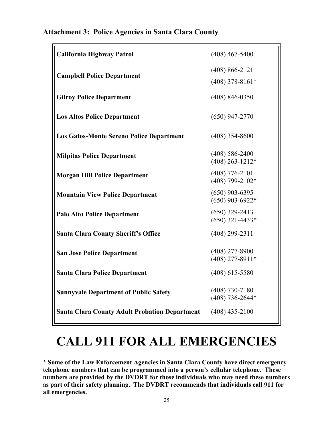| <b>California Highway Patrol</b>                     | $(408)$ 467-5400                        |
|------------------------------------------------------|-----------------------------------------|
| <b>Campbell Police Department</b>                    | $(408) 866 - 2121$<br>$(408)$ 378-8161* |
| <b>Gilroy Police Department</b>                      | $(408) 846 - 0350$                      |
| <b>Los Altos Police Department</b>                   | $(650)$ 947-2770                        |
| <b>Los Gatos-Monte Sereno Police Department</b>      | $(408)$ 354-8600                        |
| <b>Milpitas Police Department</b>                    | $(408)$ 586-2400<br>$(408)$ 263-1212*   |
| <b>Morgan Hill Police Department</b>                 | $(408)$ 776-2101<br>$(408)$ 799-2102*   |
| <b>Mountain View Police Department</b>               | $(650)$ 903-6395<br>$(650)$ 903-6922*   |
| <b>Palo Alto Police Department</b>                   | $(650)$ 329-2413<br>$(650)$ 321-4433*   |
| <b>Santa Clara County Sheriff's Office</b>           | $(408)$ 299-2311                        |
| <b>San Jose Police Department</b>                    | $(408)$ 277-8900<br>$(408)$ 277-8911*   |
| <b>Santa Clara Police Department</b>                 | $(408)$ 615-5580                        |
| <b>Sunnyvale Department of Public Safety</b>         | $(408)$ 730-7180<br>$(408)$ 736-2644*   |
| <b>Santa Clara County Adult Probation Department</b> | $(408)$ 435-2100                        |

#### **Attachment 3: Police Agencies in Santa Clara County**

### **CALL 911 FOR ALL EMERGENCIES**

**\* Some of the Law Enforcement Agencies in Santa Clara County have direct emergency telephone numbers that can be programmed into a person's cellular telephone. These numbers are provided by the DVDRT for those individuals who may need these numbers as part of their safety planning. The DVDRT recommends that individuals call 911 for all emergencies.**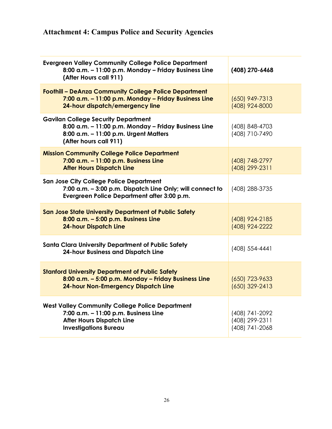#### **Attachment 4: Campus Police and Security Agencies**

| <b>Evergreen Valley Community College Police Department</b><br>8:00 a.m. - 11:00 p.m. Monday - Friday Business Line<br>(After Hours call 911)                         | (408) 270-6468                                     |
|-----------------------------------------------------------------------------------------------------------------------------------------------------------------------|----------------------------------------------------|
| <b>Foothill - DeAnza Community College Police Department</b><br>7:00 a.m. - 11:00 p.m. Monday - Friday Business Line<br>24-hour dispatch/emergency line               | $(650)$ 949-7313<br>(408) 924-8000                 |
| <b>Gavilan College Security Department</b><br>8:00 a.m. - 11:00 p.m. Monday - Friday Business Line<br>8:00 a.m. - 11:00 p.m. Urgent Matters<br>(After hours call 911) | (408) 848-4703<br>(408) 710-7490                   |
| <b>Mission Community College Police Department</b><br>7:00 a.m. - 11:00 p.m. Business Line<br><b>After Hours Dispatch Line</b>                                        | (408) 748-2797<br>(408) 299-2311                   |
| <b>San Jose City College Police Department</b><br>7:00 a.m. - 3:00 p.m. Dispatch Line Only; will connect to<br>Evergreen Police Department after 3:00 p.m.            | (408) 288-3735                                     |
| San Jose State University Department of Public Safety<br>8:00 a.m. - 5:00 p.m. Business Line<br><b>24-hour Dispatch Line</b>                                          | (408) 924-2185<br>(408) 924-2222                   |
| <b>Santa Clara University Department of Public Safety</b><br><b>24-hour Business and Dispatch Line</b>                                                                | (408) 554-4441                                     |
| <b>Stanford University Department of Public Safety</b><br>8:00 a.m. - 5:00 p.m. Monday - Friday Business Line<br><b>24-hour Non-Emergency Dispatch Line</b>           | $(650)$ 723-9633<br>$(650)$ 329-2413               |
| <b>West Valley Community College Police Department</b><br>7:00 a.m. - 11:00 p.m. Business Line<br><b>After Hours Dispatch Line</b><br><b>Investigations Bureau</b>    | (408) 741-2092<br>(408) 299-2311<br>(408) 741-2068 |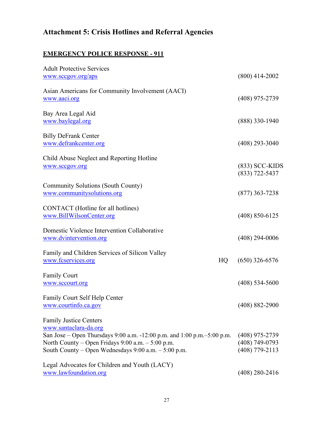#### **Attachment 5: Crisis Hotlines and Referral Agencies**

#### **EMERGENCY POLICE RESPONSE - 911**

| <b>Adult Protective Services</b>                                                                                                                                                                                                               |                                                            |
|------------------------------------------------------------------------------------------------------------------------------------------------------------------------------------------------------------------------------------------------|------------------------------------------------------------|
| www.sccgov.org/aps                                                                                                                                                                                                                             | $(800)$ 414-2002                                           |
| Asian Americans for Community Involvement (AACI)<br>www.aaci.org                                                                                                                                                                               | $(408)$ 975-2739                                           |
| Bay Area Legal Aid<br>www.baylegal.org                                                                                                                                                                                                         | $(888)$ 330-1940                                           |
| <b>Billy DeFrank Center</b><br>www.defrankcenter.org                                                                                                                                                                                           | $(408)$ 293-3040                                           |
| Child Abuse Neglect and Reporting Hotline<br>www.sccgov.org                                                                                                                                                                                    | $(833)$ SCC-KIDS<br>$(833) 722 - 5437$                     |
| <b>Community Solutions (South County)</b><br>www.communitysolutions.org                                                                                                                                                                        | $(877)$ 363-7238                                           |
| CONTACT (Hotline for all hotlines)<br>www.BillWilsonCenter.org                                                                                                                                                                                 | $(408)$ 850-6125                                           |
| Domestic Violence Intervention Collaborative<br>www.dvintervention.org                                                                                                                                                                         | $(408)$ 294-0006                                           |
| Family and Children Services of Silicon Valley<br>HQ<br>www.fcservices.org                                                                                                                                                                     | $(650)$ 326-6576                                           |
| <b>Family Court</b><br>www.sccourt.org                                                                                                                                                                                                         | $(408)$ 534-5600                                           |
| Family Court Self Help Center<br>www.courtinfo.ca.gov                                                                                                                                                                                          | $(408) 882 - 2900$                                         |
| <b>Family Justice Centers</b><br>www.santaclara-da.org<br>San Jose – Open Thursdays 9:00 a.m. -12:00 p.m. and 1:00 p.m.–5:00 p.m.<br>North County – Open Fridays 9:00 a.m. – 5:00 p.m.<br>South County – Open Wednesdays 9:00 a.m. – 5:00 p.m. | $(408)$ 975-2739<br>$(408) 749 - 0793$<br>$(408)$ 779-2113 |
| Legal Advocates for Children and Youth (LACY)<br>www.lawfoundation.org                                                                                                                                                                         | $(408)$ 280-2416                                           |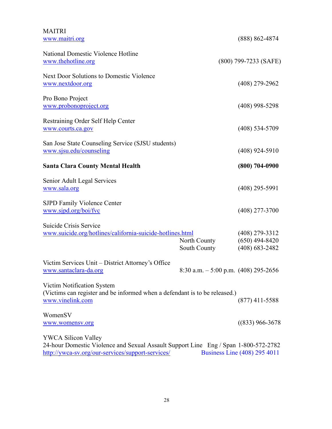| <b>MAITRI</b><br>www.maitri.org                                                                                                                                        |                                        | $(888) 862 - 4874$                                         |
|------------------------------------------------------------------------------------------------------------------------------------------------------------------------|----------------------------------------|------------------------------------------------------------|
| National Domestic Violence Hotline                                                                                                                                     |                                        |                                                            |
| www.thehotline.org                                                                                                                                                     |                                        | $(800)$ 799-7233 (SAFE)                                    |
| Next Door Solutions to Domestic Violence<br>www.nextdoor.org                                                                                                           |                                        | $(408)$ 279-2962                                           |
| Pro Bono Project<br>www.probonoproject.org                                                                                                                             |                                        | $(408)$ 998-5298                                           |
| Restraining Order Self Help Center<br>www.courts.ca.gov                                                                                                                |                                        | $(408)$ 534-5709                                           |
| San Jose State Counseling Service (SJSU students)<br>www.sjsu.edu/counseling                                                                                           |                                        | $(408)$ 924-5910                                           |
| <b>Santa Clara County Mental Health</b>                                                                                                                                |                                        | $(800) 704 - 0900$                                         |
| Senior Adult Legal Services<br>www.sala.org                                                                                                                            |                                        | $(408)$ 295-5991                                           |
| <b>SJPD Family Violence Center</b><br>www.sjpd.org/boi/fvc                                                                                                             |                                        | $(408)$ 277-3700                                           |
| Suicide Crisis Service<br>www.suicide.org/hotlines/california-suicide-hotlines.html                                                                                    | North County<br>South County           | $(408)$ 279-3312<br>$(650)$ 494-8420<br>$(408) 683 - 2482$ |
| Victim Services Unit – District Attorney's Office<br>www.santaclara-da.org                                                                                             | 8:30 a.m. $-$ 5:00 p.m. (408) 295-2656 |                                                            |
| Victim Notification System<br>(Victims can register and be informed when a defendant is to be released.)<br>www.vinelink.com                                           |                                        | $(877)$ 411-5588                                           |
| WomenSV<br>www.womensv.org                                                                                                                                             |                                        | $((833) 966 - 3678)$                                       |
| <b>YWCA Silicon Valley</b><br>24-hour Domestic Violence and Sexual Assault Support Line Eng / Span 1-800-572-2782<br>http://ywca-sv.org/our-services/support-services/ |                                        | Business Line (408) 295 4011                               |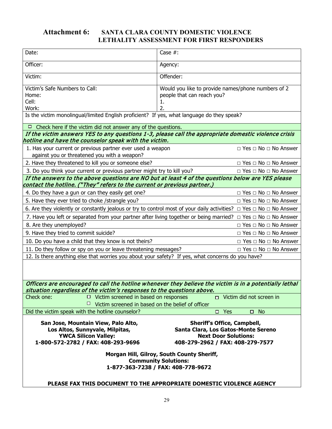#### **Attachment 6: SANTA CLARA COUNTY DOMESTIC VIOLENCE LETHALITY ASSESSMENT FOR FIRST RESPONDERS**

| Date:                                                                                                                                                   | Case $#$ :                                                                                                                                                                                 |  |  |
|---------------------------------------------------------------------------------------------------------------------------------------------------------|--------------------------------------------------------------------------------------------------------------------------------------------------------------------------------------------|--|--|
| Officer:                                                                                                                                                | Agency:                                                                                                                                                                                    |  |  |
| Victim:                                                                                                                                                 | Offender:                                                                                                                                                                                  |  |  |
| Victim's Safe Numbers to Call:<br>Home:<br>Cell:<br>Work:<br>Is the victim monolingual/limited English proficient? If yes, what language do they speak? | Would you like to provide names/phone numbers of 2<br>people that can reach you?<br>ı.<br>2.                                                                                               |  |  |
| Check here if the victim did not answer any of the questions.                                                                                           |                                                                                                                                                                                            |  |  |
| hotline and have the counselor speak with the victim.                                                                                                   | If the victim answers YES to any questions 1-3, please call the appropriate domestic violence crisis                                                                                       |  |  |
| 1. Has your current or previous partner ever used a weapon<br>against you or threatened you with a weapon?                                              | $\Box$ Yes $\Box$ No $\Box$ No Answer                                                                                                                                                      |  |  |
| 2. Have they threatened to kill you or someone else?                                                                                                    | $\Box$ Yes $\Box$ No $\Box$ No Answer                                                                                                                                                      |  |  |
| 3. Do you think your current or previous partner might try to kill you?                                                                                 | $\Box$ Yes $\Box$ No $\Box$ No Answer                                                                                                                                                      |  |  |
| contact the hotline. ("They" refers to the current or previous partner.)                                                                                | If the answers to the above questions are NO but at least 4 of the questions below are YES please                                                                                          |  |  |
| 4. Do they have a gun or can they easily get one?                                                                                                       | $\Box$ Yes $\Box$ No $\Box$ No Answer                                                                                                                                                      |  |  |
| 5. Have they ever tried to choke / strangle you?                                                                                                        | $\Box$ Yes $\Box$ No $\Box$ No Answer                                                                                                                                                      |  |  |
|                                                                                                                                                         | 6. Are they violently or constantly jealous or try to control most of your daily activities? $\Box$ Yes $\Box$ No $\Box$ No Answer                                                         |  |  |
|                                                                                                                                                         | 7. Have you left or separated from your partner after living together or being married? $\Box$ Yes $\Box$ No $\Box$ No Answer                                                              |  |  |
| 8. Are they unemployed?                                                                                                                                 | $\Box$ Yes $\Box$ No $\Box$ No Answer                                                                                                                                                      |  |  |
| 9. Have they tried to commit suicide?                                                                                                                   | $\Box$ Yes $\Box$ No $\Box$ No Answer                                                                                                                                                      |  |  |
| 10. Do you have a child that they know is not theirs?                                                                                                   | $\Box$ Yes $\Box$ No $\Box$ No Answer                                                                                                                                                      |  |  |
| 11. Do they follow or spy on you or leave threatening messages?                                                                                         | $\Box$ Yes $\Box$ No $\Box$ No Answer                                                                                                                                                      |  |  |
| 12. Is there anything else that worries you about your safety? If yes, what concerns do you have?                                                       |                                                                                                                                                                                            |  |  |
| Officers are encouraged to call the hotline whenever they believe the victim is in a potentially lethal                                                 |                                                                                                                                                                                            |  |  |
| situation regardless of the victim's responses to the questions above.<br>Check one:<br>$\Box$ Victim screened in based on responses                    | D Victim did not screen in                                                                                                                                                                 |  |  |
| $\Box$ Victim screened in based on the belief of officer                                                                                                |                                                                                                                                                                                            |  |  |
| Did the victim speak with the hotline counselor?                                                                                                        | $\square$ Yes<br>$\square$ No                                                                                                                                                              |  |  |
| San Jose, Mountain View, Palo Alto,<br>Los Altos, Sunnyvale, Milpitas,<br><b>YWCA Silicon Valley:</b><br>1-800-572-2782 / FAX: 408-293-9696             | <b>Sheriff's Office, Campbell,</b><br>Santa Clara, Los Gatos-Monte Sereno<br><b>Next Door Solutions:</b><br>408-279-2962 / FAX: 408-279-7577<br>Morgan Hill, Gilroy, South County Sheriff, |  |  |
| <b>Community Solutions:</b><br>1-877-363-7238 / FAX: 408-778-9672<br>PLEASE FAX THIS DOCUMENT TO THE APPROPRIATE DOMESTIC VIOLENCE AGENCY               |                                                                                                                                                                                            |  |  |
|                                                                                                                                                         |                                                                                                                                                                                            |  |  |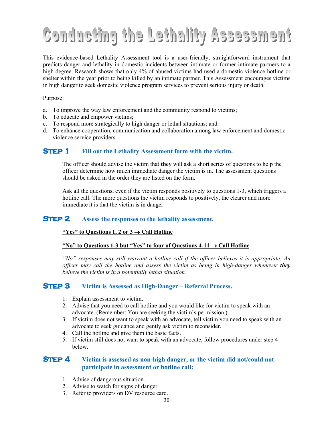## **Conducting the Lethality Assessment**

This evidence-based Lethality Assessment tool is a user-friendly, straightforward instrument that predicts danger and lethality in domestic incidents between intimate or former intimate partners to a high degree. Research shows that only 4% of abused victims had used a domestic violence hotline or shelter within the year prior to being killed by an intimate partner. This Assessment encourages victims in high danger to seek domestic violence program services to prevent serious injury or death.

Purpose:

- a. To improve the way law enforcement and the community respond to victims;
- b. To educate and empower victims;
- c. To respond more strategically to high danger or lethal situations; and
- d. To enhance cooperation, communication and collaboration among law enforcement and domestic violence service providers.

#### **STEP 1** Fill out the Lethality Assessment form with the victim.

The officer should advise the victim that **they** will ask a short series of questions to help the officer determine how much immediate danger the victim is in. The assessment questions should be asked in the order they are listed on the form.

Ask all the questions, even if the victim responds positively to questions 1-3, which triggers a hotline call. The more questions the victim responds to positively, the clearer and more immediate it is that the victim is in danger.

#### **STEP 2** Assess the responses to the lethality assessment.

#### **"Yes" to Questions 1, 2 or 3** → **Call Hotline**

#### **"No" to Questions 1-3 but "Yes" to four of Questions 4-11** → **Call Hotline**

*"No" responses may still warrant a hotline call if the officer believes it is appropriate. An officer may call the hotline and assess the victim as being in high-danger whenever they believe the victim is in a potentially lethal situation.*

#### **Step 3 Victim is Assessed as High-Danger – Referral Process.**

- 1. Explain assessment to victim.
- 2. Advise that you need to call hotline and you would like for victim to speak with an advocate. (Remember: You are seeking the victim's permission.)
- 3. If victim does not want to speak with an advocate, tell victim you need to speak with an advocate to seek guidance and gently ask victim to reconsider.
- 4. Call the hotline and give them the basic facts.
- 5. If victim still does not want to speak with an advocate, follow procedures under step 4 below.

#### **STEP 4** Victim is assessed as non-high danger, or the victim did not/could not **participate in assessment or hotline call:**

- 1. Advise of dangerous situation.
- 2. Advise to watch for signs of danger.
- 3. Refer to providers on DV resource card.